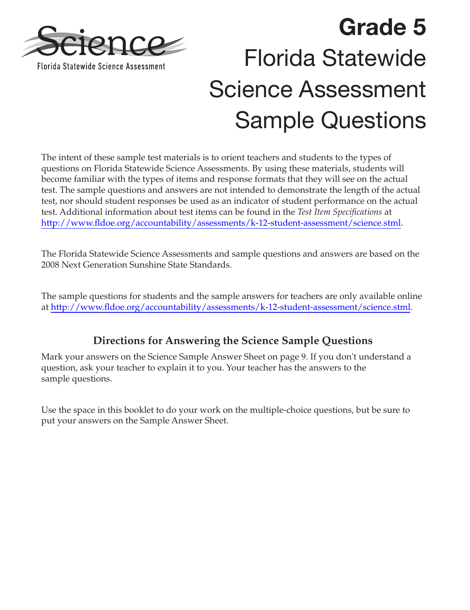

## **Grade 5**  Florida Statewide Science Assessment Sample Questions

The intent of these sample test materials is to orient teachers and students to the types of questions on Florida Statewide Science Assessments. By using these materials, students will become familiar with the types of items and response formats that they will see on the actual test. The sample questions and answers are not intended to demonstrate the length of the actual test, nor should student responses be used as an indicator of student performance on the actual test. Additional information about test items can be found in the *Test Item Specifications* at [http://www.fldoe.org/accountability/assessments/k-12-student-assessment/science.stml.](http://www.fldoe.org/accountability/assessments/k-12-student-assessment/science.stml)

The Florida Statewide Science Assessments and sample questions and answers are based on the 2008 Next Generation Sunshine State Standards.

The sample questions for students and the sample answers for teachers are only available online at<http://www.fldoe.org/accountability/assessments/k-12-student-assessment/science.stml>.

**Directions for Answering the Science Sample Questions**  Mark your answers on the Science Sample Answer Sheet on [page 9.](#page-8-0) If you don't understand a question, ask your teacher to explain it to you. Your teacher has the answers to the sample questions.

Use the space in this booklet to do your work on the multiple-choice questions, but be sure to put your answers on the Sample Answer Sheet.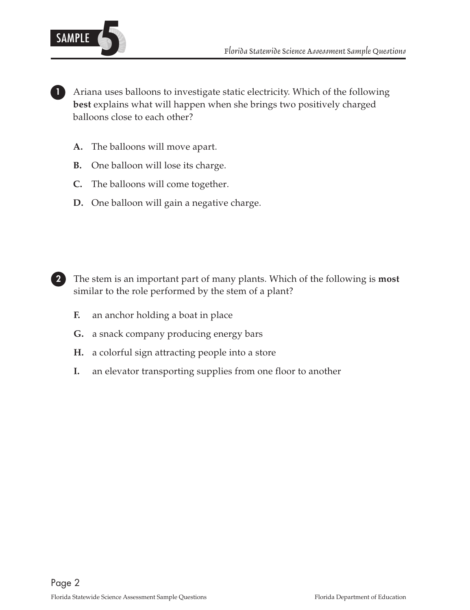

**1** Ariana uses balloons to investigate static electricity. Which of the following **best** explains what will happen when she brings two positively charged balloons close to each other?

- **A.** The balloons will move apart.
- **B.** One balloon will lose its charge.
- **C.** The balloons will come together.
- **D.** One balloon will gain a negative charge.



**<sup>2</sup>** The stem is an important part of many plants. Which of the following is **most**  similar to the role performed by the stem of a plant?

- **F.** an anchor holding a boat in place
- **G.** a snack company producing energy bars
- **H.** a colorful sign attracting people into a store
- **I.** an elevator transporting supplies from one floor to another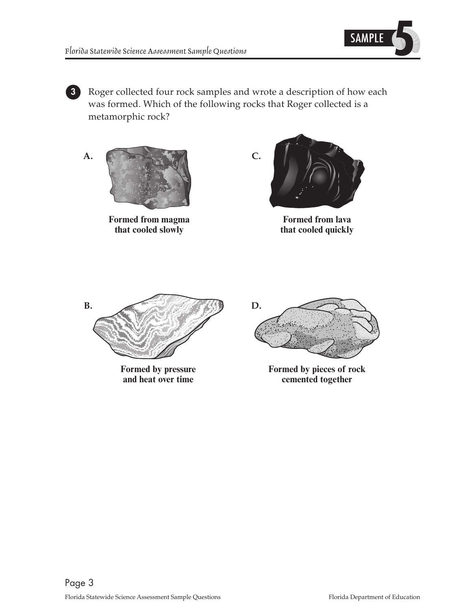

**3** Roger collected four rock samples and wrote a description of how each was formed. Which of the following rocks that Roger collected is a metamorphic rock?

Formed from magma<br> **Formed from lava**<br> **Formed from lava**<br> **Formed from lava**<br> **formed from lava**<br> **formed from lava** 



that cooled quickly





Formed by pressure **Formed by pieces of rock**<br>and heat over time<br>**Formed by pieces of rock**<br>**Formed by pieces of rock** cemented together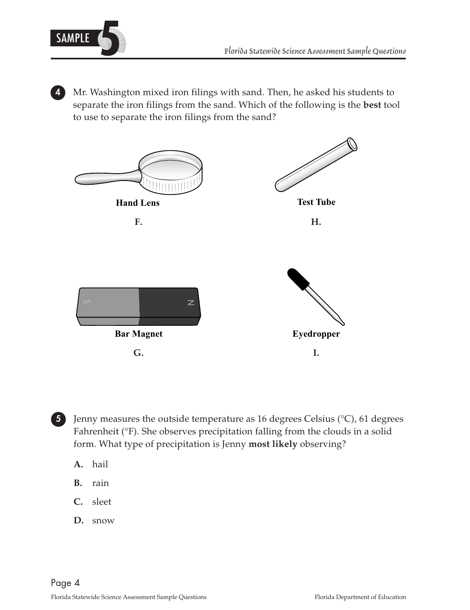

 separate the iron filings from the sand. Which of the following is the **best** tool **4** Mr. Washington mixed iron filings with sand. Then, he asked his students to to use to separate the iron filings from the sand?





**5** Jenny measures the outside temperature as 16 degrees Celsius (°C), 61 degrees Fahrenheit (°F). She observes precipitation falling from the clouds in a solid form. What type of precipitation is Jenny **most likely** observing?

- **A.** hail
- **B.** rain
- **C.** sleet
- **D.** snow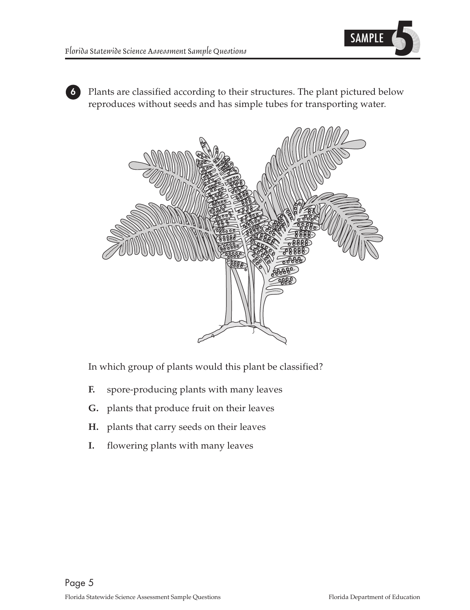

**6** Plants are classified according to their structures. The plant pictured below reproduces without seeds and has simple tubes for transporting water.



In which group of plants would this plant be classified?

- **F.** spore-producing plants with many leaves
- **G.** plants that produce fruit on their leaves
- **H.** plants that carry seeds on their leaves
- **I.** flowering plants with many leaves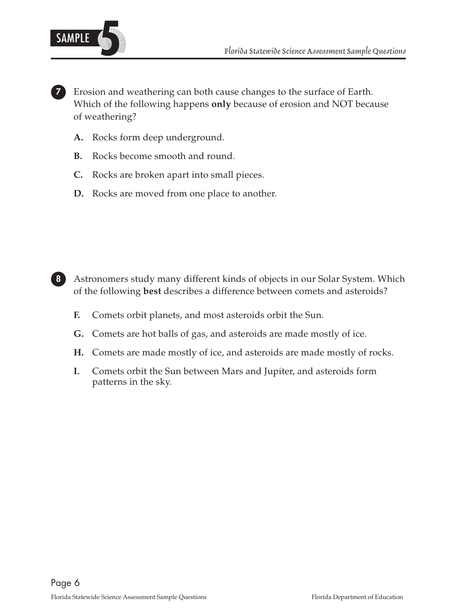

**7** Erosion and weathering can both cause changes to the surface of Earth. Which of the following happens **only** because of erosion and NOT because of weathering?

- Rocks form deep underground.
- **B.** Rocks become smooth and round.
- **C.** Rocks are broken apart into small pieces.
- **D.** Rocks are moved from one place to another.



**8** Astronomers study many different kinds of objects in our Solar System. Which of the following **best** describes a difference between comets and asteroids?

- Comets orbit planets, and most asteroids orbit the Sun.
- **G.** Comets are hot balls of gas, and asteroids are made mostly of ice.
- **H.** Comets are made mostly of ice, and asteroids are made mostly of rocks.
- **I.** Comets orbit the Sun between Mars and Jupiter, and asteroids form patterns in the sky.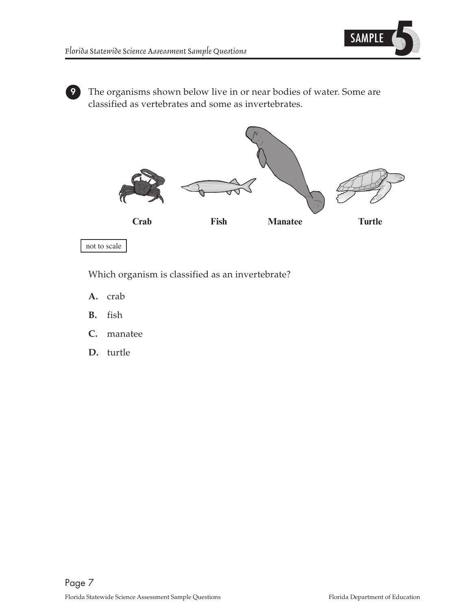

**9** The organisms shown below live in or near bodies of water. Some are classified as vertebrates and some as invertebrates.



not to scale

Which organism is classified as an invertebrate?

- **A.** crab
- **B.** fish
- **C.** manatee
- **D.** turtle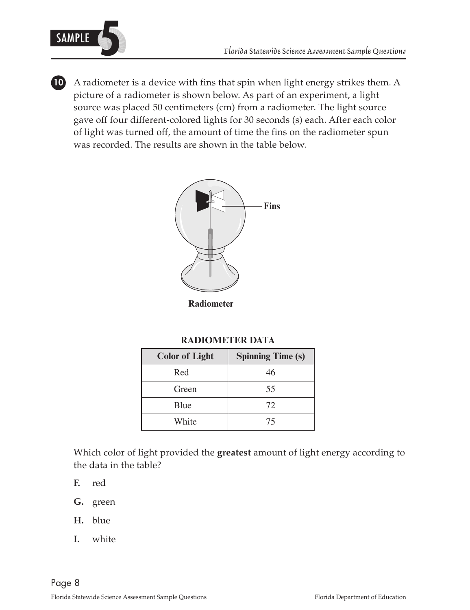

**10** A radiometer is a device with fins that spin when light energy strikes them. A picture of a radiometer is shown below. As part of an experiment, a light source was placed 50 centimeters (cm) from a radiometer. The light source gave off four different-colored lights for 30 seconds (s) each. After each color of light was turned off, the amount of time the fins on the radiometer spun was recorded. The results are shown in the table below.



**Radiometer** 

## **RADIOMETER DATA**

| <b>Color of Light</b> | <b>Spinning Time (s)</b> |
|-----------------------|--------------------------|
| Red                   | 46                       |
| Green                 | 55                       |
| Blue                  | 72                       |
| White                 | 75                       |

Which color of light provided the **greatest** amount of light energy according to the data in the table?

- **F.** red
- **G.** green
- **H.** blue
- **I.** white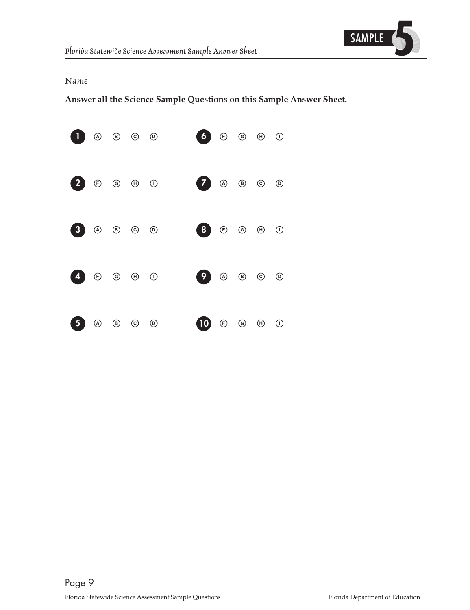

<span id="page-8-0"></span>*Name* 

**Answer all the Science Sample Questions on this Sample Answer Sheet.**